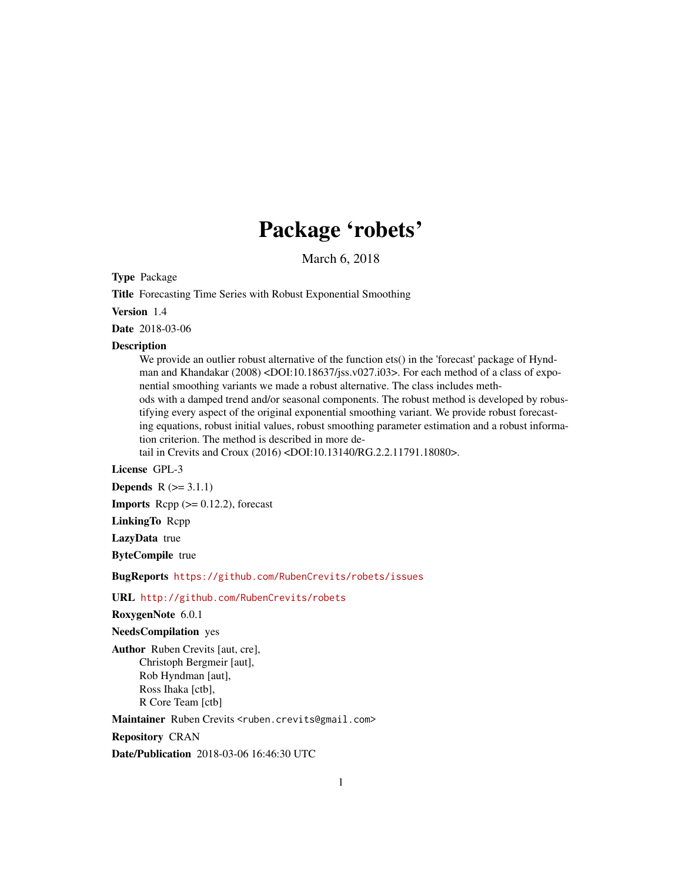## Package 'robets'

March 6, 2018

<span id="page-0-0"></span>Type Package

Title Forecasting Time Series with Robust Exponential Smoothing

Version 1.4

Date 2018-03-06

#### Description

We provide an outlier robust alternative of the function ets() in the 'forecast' package of Hyndman and Khandakar (2008) <DOI:10.18637/jss.v027.i03>. For each method of a class of exponential smoothing variants we made a robust alternative. The class includes methods with a damped trend and/or seasonal components. The robust method is developed by robustifying every aspect of the original exponential smoothing variant. We provide robust forecasting equations, robust initial values, robust smoothing parameter estimation and a robust information criterion. The method is described in more detail in Crevits and Croux (2016) <DOI:10.13140/RG.2.2.11791.18080>.

License GPL-3

**Depends**  $R (= 3.1.1)$ 

**Imports** Rcpp  $(>= 0.12.2)$ , forecast

LinkingTo Rcpp

LazyData true

ByteCompile true

BugReports <https://github.com/RubenCrevits/robets/issues>

URL <http://github.com/RubenCrevits/robets>

RoxygenNote 6.0.1

NeedsCompilation yes

Author Ruben Crevits [aut, cre], Christoph Bergmeir [aut], Rob Hyndman [aut], Ross Ihaka [ctb], R Core Team [ctb]

Maintainer Ruben Crevits <ruben.crevits@gmail.com>

Repository CRAN

Date/Publication 2018-03-06 16:46:30 UTC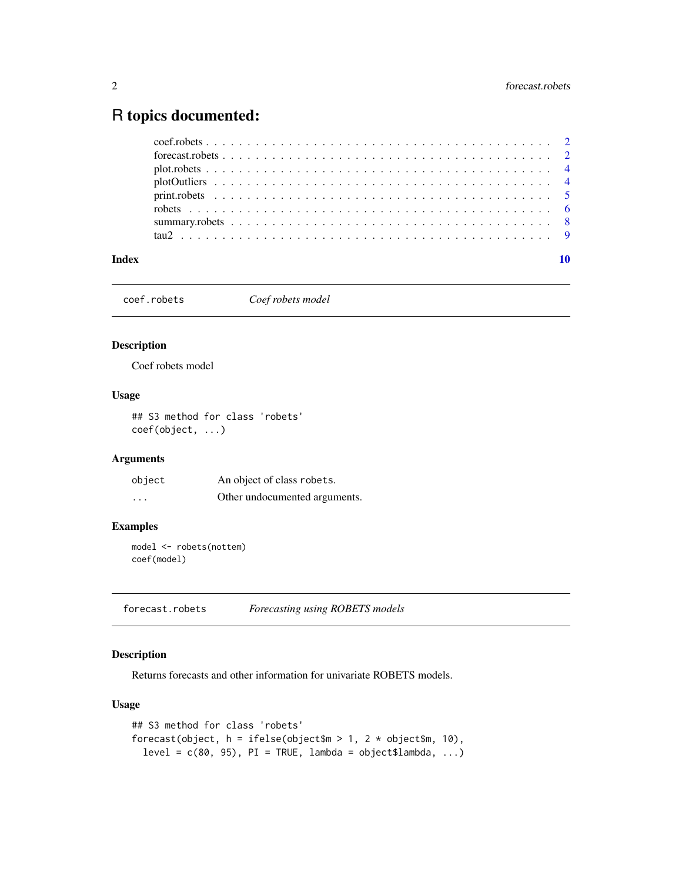## <span id="page-1-0"></span>R topics documented:

coef.robets *Coef robets model*

#### Description

Coef robets model

#### Usage

## S3 method for class 'robets' coef(object, ...)

#### Arguments

| object   | An object of class robets.    |
|----------|-------------------------------|
| $\cdots$ | Other undocumented arguments. |

#### Examples

model <- robets(nottem) coef(model)

<span id="page-1-1"></span>forecast.robets *Forecasting using ROBETS models*

#### Description

Returns forecasts and other information for univariate ROBETS models.

#### Usage

```
## S3 method for class 'robets'
forecast(object, h = ifelse(object$m > 1, 2 * object$m, 10),level = c(80, 95), PI = TRUE, lambda = object$lambda, ...)
```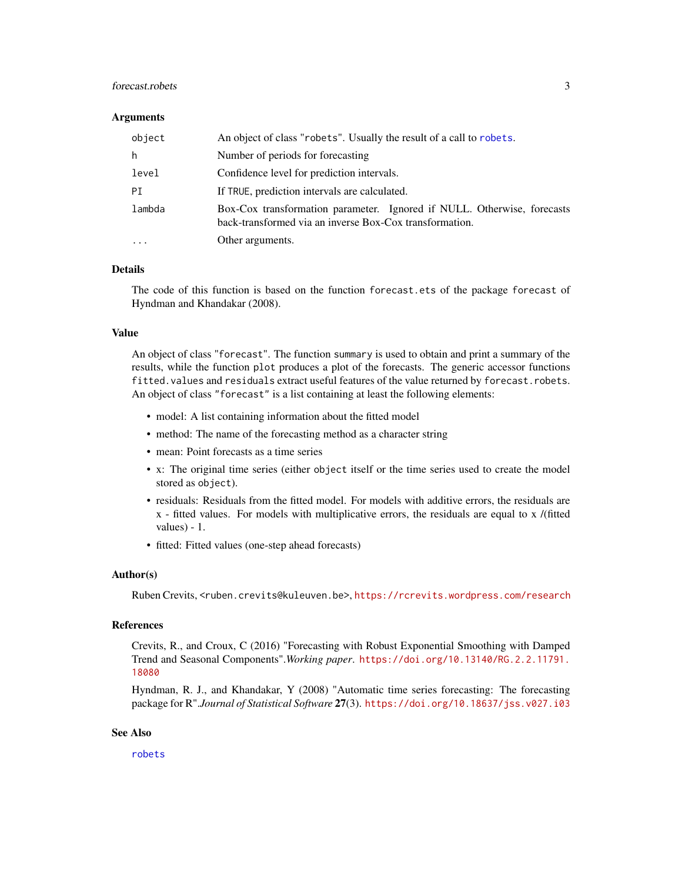#### <span id="page-2-0"></span>forecast.robets 3

#### **Arguments**

| object | An object of class "robets". Usually the result of a call to robets.                                                               |
|--------|------------------------------------------------------------------------------------------------------------------------------------|
| h      | Number of periods for forecasting                                                                                                  |
| level  | Confidence level for prediction intervals.                                                                                         |
| PI     | If TRUE, prediction intervals are calculated.                                                                                      |
| lambda | Box-Cox transformation parameter. Ignored if NULL. Otherwise, forecasts<br>back-transformed via an inverse Box-Cox transformation. |
|        | Other arguments.                                                                                                                   |

#### Details

The code of this function is based on the function forecast.ets of the package forecast of Hyndman and Khandakar (2008).

#### Value

An object of class "forecast". The function summary is used to obtain and print a summary of the results, while the function plot produces a plot of the forecasts. The generic accessor functions fitted.values and residuals extract useful features of the value returned by forecast.robets. An object of class "forecast" is a list containing at least the following elements:

- model: A list containing information about the fitted model
- method: The name of the forecasting method as a character string
- mean: Point forecasts as a time series
- x: The original time series (either object itself or the time series used to create the model stored as object).
- residuals: Residuals from the fitted model. For models with additive errors, the residuals are x - fitted values. For models with multiplicative errors, the residuals are equal to x /(fitted values) - 1.
- fitted: Fitted values (one-step ahead forecasts)

#### Author(s)

Ruben Crevits, <ruben.crevits@kuleuven.be>, <https://rcrevits.wordpress.com/research>

#### References

Crevits, R., and Croux, C (2016) "Forecasting with Robust Exponential Smoothing with Damped Trend and Seasonal Components".*Working paper*. [https://doi.org/10.13140/RG.2.2.11791.](https://doi.org/10.13140/RG.2.2.11791.18080) [18080](https://doi.org/10.13140/RG.2.2.11791.18080)

Hyndman, R. J., and Khandakar, Y (2008) "Automatic time series forecasting: The forecasting package for R".*Journal of Statistical Software* 27(3). <https://doi.org/10.18637/jss.v027.i03>

#### See Also

[robets](#page-5-1)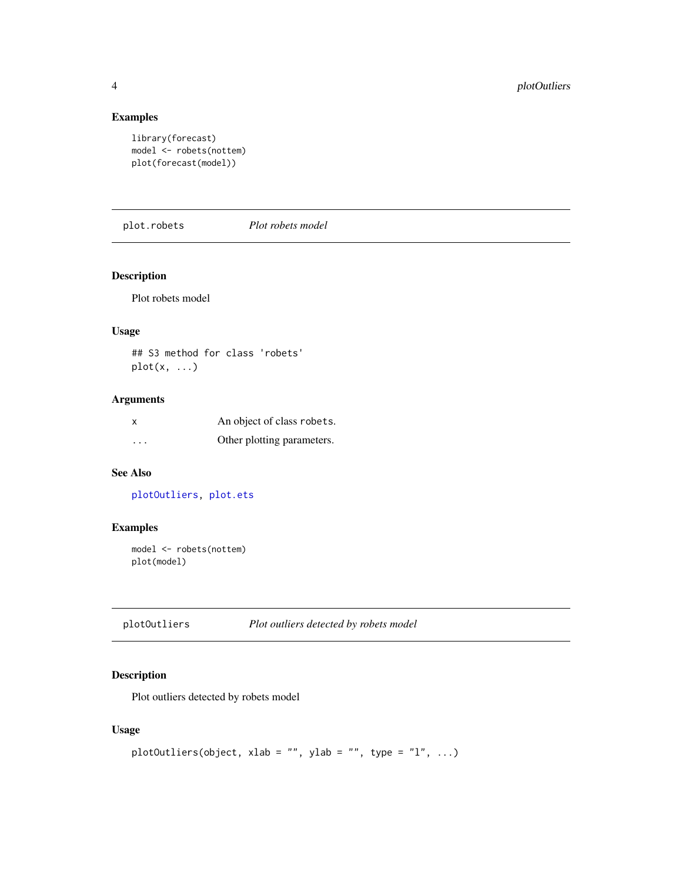#### Examples

```
library(forecast)
model <- robets(nottem)
plot(forecast(model))
```
<span id="page-3-2"></span>plot.robets *Plot robets model*

#### Description

Plot robets model

#### Usage

## S3 method for class 'robets'  $plot(x, \ldots)$ 

#### Arguments

|          | An object of class robets. |
|----------|----------------------------|
| $\cdots$ | Other plotting parameters. |

#### See Also

[plotOutliers,](#page-3-1) [plot.ets](#page-0-0)

#### Examples

```
model <- robets(nottem)
plot(model)
```
<span id="page-3-1"></span>plotOutliers *Plot outliers detected by robets model*

#### Description

Plot outliers detected by robets model

#### Usage

```
plotOutliers(object, xlab = "", ylab = "", type = "l", ...)
```
<span id="page-3-0"></span>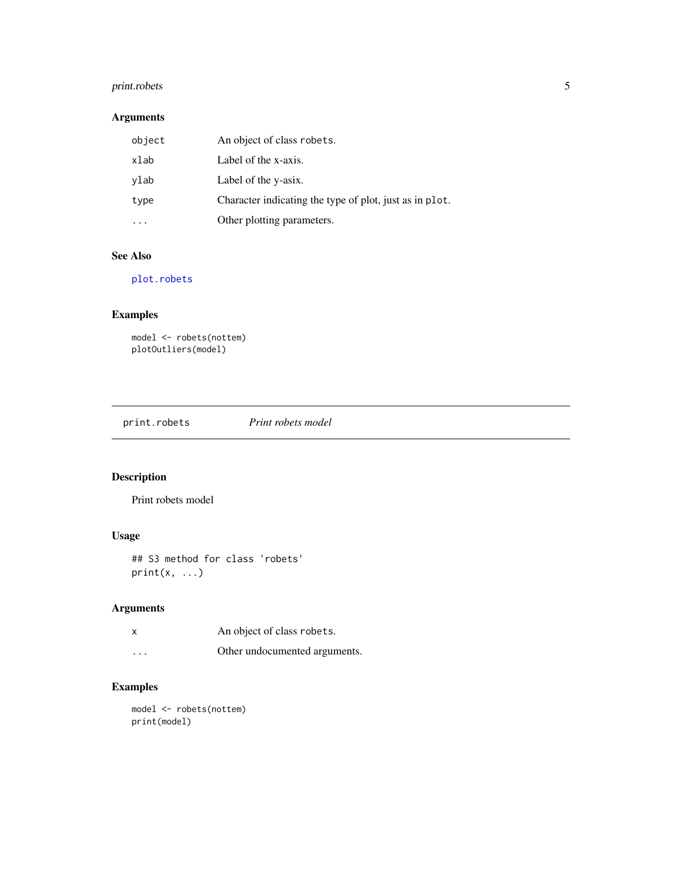#### <span id="page-4-0"></span>print.robets 5

#### Arguments

| object | An object of class robets.                              |
|--------|---------------------------------------------------------|
| xlab   | Label of the x-axis.                                    |
| ylab   | Label of the y-asix.                                    |
| type   | Character indicating the type of plot, just as in plot. |
|        | Other plotting parameters.                              |

#### See Also

[plot.robets](#page-3-2)

#### Examples

```
model <- robets(nottem)
plotOutliers(model)
```
print.robets *Print robets model*

#### Description

Print robets model

#### Usage

```
## S3 method for class 'robets'
print(x, \ldots)
```
#### Arguments

| X       | An object of class robets.    |
|---------|-------------------------------|
| $\cdot$ | Other undocumented arguments. |

### Examples

model <- robets(nottem) print(model)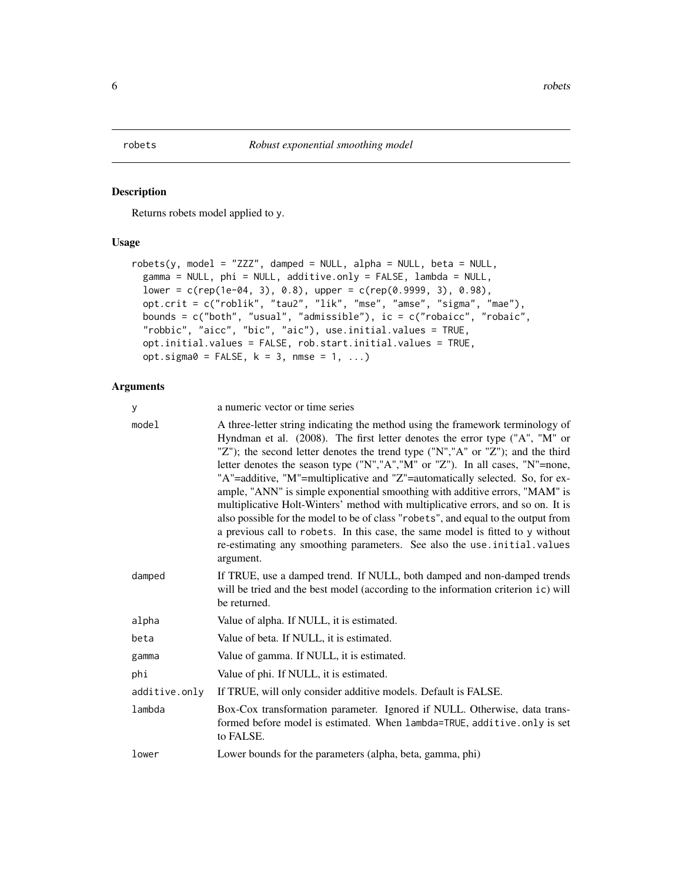#### <span id="page-5-1"></span><span id="page-5-0"></span>Description

Returns robets model applied to y.

#### Usage

```
robets(y, model = "ZZZ", damped = NULL, alpha = NULL, beta = NULL,gamma = NULL, phi = NULL, additive.only = FALSE, lambda = NULL,
 lower = c(rep(1e-04, 3), 0.8), upper = c(rep(0.9999, 3), 0.98),
  opt.crit = c("roblik", "tau2", "lik", "mse", "amse", "sigma", "mae"),
  bounds = c("both", "usual", "admissible"), ic = c("robaicc", "robaic",
 "robbic", "aicc", "bic", "aic"), use.initial.values = TRUE,
 opt.initial.values = FALSE, rob.start.initial.values = TRUE,
 opt.sigma0 = FALSE, k = 3, nmse = 1, ...)
```
#### Arguments

| У             | a numeric vector or time series                                                                                                                                                                                                                                                                                                                                                                                                                                                                                                                                                                                                                                                                                                                                                                                                                       |
|---------------|-------------------------------------------------------------------------------------------------------------------------------------------------------------------------------------------------------------------------------------------------------------------------------------------------------------------------------------------------------------------------------------------------------------------------------------------------------------------------------------------------------------------------------------------------------------------------------------------------------------------------------------------------------------------------------------------------------------------------------------------------------------------------------------------------------------------------------------------------------|
| model         | A three-letter string indicating the method using the framework terminology of<br>Hyndman et al. (2008). The first letter denotes the error type ("A", "M" or<br>"Z"); the second letter denotes the trend type ("N","A" or "Z"); and the third<br>letter denotes the season type ("N","A","M" or "Z"). In all cases, "N"=none,<br>"A"=additive, "M"=multiplicative and "Z"=automatically selected. So, for ex-<br>ample, "ANN" is simple exponential smoothing with additive errors, "MAM" is<br>multiplicative Holt-Winters' method with multiplicative errors, and so on. It is<br>also possible for the model to be of class "robets", and equal to the output from<br>a previous call to robets. In this case, the same model is fitted to y without<br>re-estimating any smoothing parameters. See also the use . initial . values<br>argument. |
| damped        | If TRUE, use a damped trend. If NULL, both damped and non-damped trends<br>will be tried and the best model (according to the information criterion ic) will<br>be returned.                                                                                                                                                                                                                                                                                                                                                                                                                                                                                                                                                                                                                                                                          |
| alpha         | Value of alpha. If NULL, it is estimated.                                                                                                                                                                                                                                                                                                                                                                                                                                                                                                                                                                                                                                                                                                                                                                                                             |
| beta          | Value of beta. If NULL, it is estimated.                                                                                                                                                                                                                                                                                                                                                                                                                                                                                                                                                                                                                                                                                                                                                                                                              |
| gamma         | Value of gamma. If NULL, it is estimated.                                                                                                                                                                                                                                                                                                                                                                                                                                                                                                                                                                                                                                                                                                                                                                                                             |
| phi           | Value of phi. If NULL, it is estimated.                                                                                                                                                                                                                                                                                                                                                                                                                                                                                                                                                                                                                                                                                                                                                                                                               |
| additive.only | If TRUE, will only consider additive models. Default is FALSE.                                                                                                                                                                                                                                                                                                                                                                                                                                                                                                                                                                                                                                                                                                                                                                                        |
| lambda        | Box-Cox transformation parameter. Ignored if NULL. Otherwise, data trans-<br>formed before model is estimated. When lambda=TRUE, additive.only is set<br>to FALSE.                                                                                                                                                                                                                                                                                                                                                                                                                                                                                                                                                                                                                                                                                    |
| lower         | Lower bounds for the parameters (alpha, beta, gamma, phi)                                                                                                                                                                                                                                                                                                                                                                                                                                                                                                                                                                                                                                                                                                                                                                                             |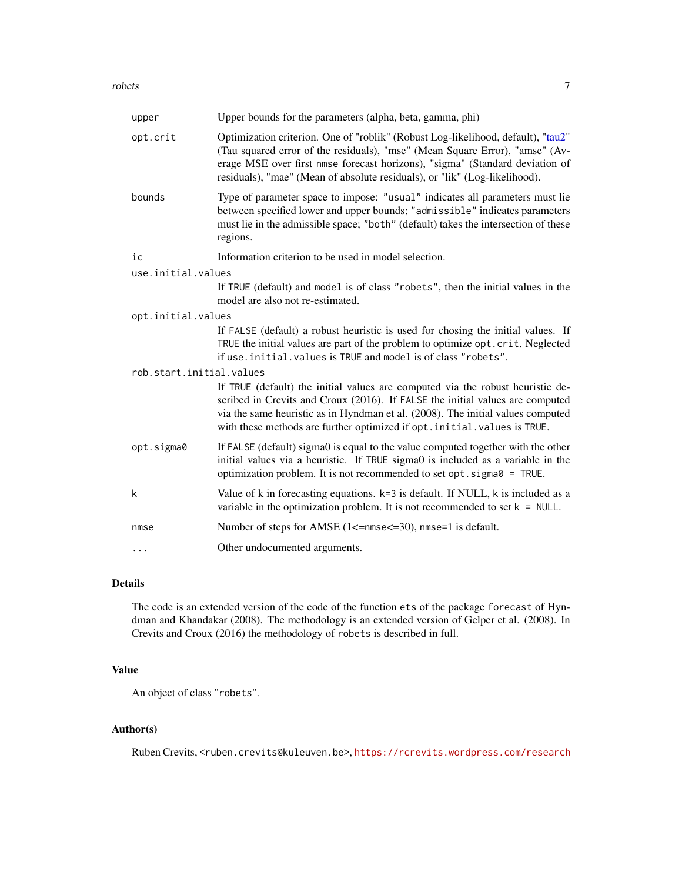#### <span id="page-6-0"></span>robets 7

| upper                    | Upper bounds for the parameters (alpha, beta, gamma, phi)                                                                                                                                                                                                                                                                       |
|--------------------------|---------------------------------------------------------------------------------------------------------------------------------------------------------------------------------------------------------------------------------------------------------------------------------------------------------------------------------|
| opt.crit                 | Optimization criterion. One of "roblik" (Robust Log-likelihood, default), "tau2"<br>(Tau squared error of the residuals), "mse" (Mean Square Error), "amse" (Av-<br>erage MSE over first nmse forecast horizons), "sigma" (Standard deviation of<br>residuals), "mae" (Mean of absolute residuals), or "lik" (Log-likelihood).  |
| bounds                   | Type of parameter space to impose: "usual" indicates all parameters must lie<br>between specified lower and upper bounds; "admissible" indicates parameters<br>must lie in the admissible space; "both" (default) takes the intersection of these<br>regions.                                                                   |
| ic                       | Information criterion to be used in model selection.                                                                                                                                                                                                                                                                            |
| use.initial.values       |                                                                                                                                                                                                                                                                                                                                 |
|                          | If TRUE (default) and model is of class "robets", then the initial values in the<br>model are also not re-estimated.                                                                                                                                                                                                            |
| opt.initial.values       |                                                                                                                                                                                                                                                                                                                                 |
|                          | If FALSE (default) a robust heuristic is used for chosing the initial values. If<br>TRUE the initial values are part of the problem to optimize opt.crit. Neglected<br>if use. initial. values is TRUE and model is of class "robets".                                                                                          |
| rob.start.initial.values |                                                                                                                                                                                                                                                                                                                                 |
|                          | If TRUE (default) the initial values are computed via the robust heuristic de-<br>scribed in Crevits and Croux (2016). If FALSE the initial values are computed<br>via the same heuristic as in Hyndman et al. (2008). The initial values computed<br>with these methods are further optimized if opt. initial. values is TRUE. |
| opt.sigma0               | If FALSE (default) sigma0 is equal to the value computed together with the other<br>initial values via a heuristic. If TRUE sigma0 is included as a variable in the<br>optimization problem. It is not recommended to set opt. sigma0 = TRUE.                                                                                   |
| k                        | Value of $k$ in forecasting equations. $k=3$ is default. If NULL, $k$ is included as a<br>variable in the optimization problem. It is not recommended to set $k = NULL$ .                                                                                                                                                       |
| nmse                     | Number of steps for AMSE (1<=nmse<=30), nmse=1 is default.                                                                                                                                                                                                                                                                      |
| $\cdots$                 | Other undocumented arguments.                                                                                                                                                                                                                                                                                                   |

#### Details

The code is an extended version of the code of the function ets of the package forecast of Hyndman and Khandakar (2008). The methodology is an extended version of Gelper et al. (2008). In Crevits and Croux (2016) the methodology of robets is described in full.

#### Value

An object of class "robets".

#### Author(s)

Ruben Crevits, <ruben.crevits@kuleuven.be>, <https://rcrevits.wordpress.com/research>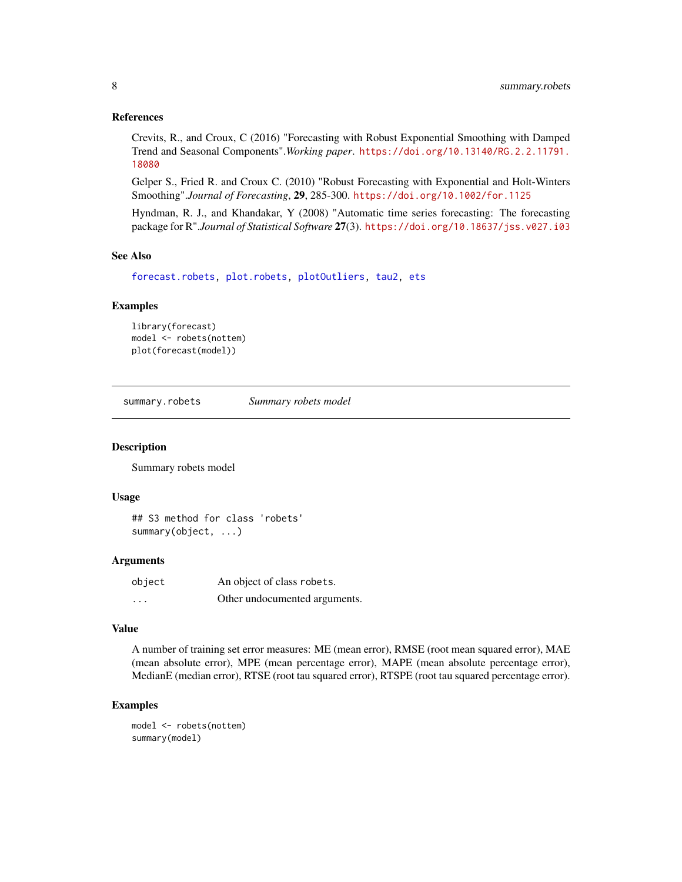#### <span id="page-7-0"></span>References

Crevits, R., and Croux, C (2016) "Forecasting with Robust Exponential Smoothing with Damped Trend and Seasonal Components".*Working paper*. [https://doi.org/10.13140/RG.2.2.11791.](https://doi.org/10.13140/RG.2.2.11791.18080) [18080](https://doi.org/10.13140/RG.2.2.11791.18080)

Gelper S., Fried R. and Croux C. (2010) "Robust Forecasting with Exponential and Holt-Winters Smoothing".*Journal of Forecasting*, 29, 285-300. <https://doi.org/10.1002/for.1125>

Hyndman, R. J., and Khandakar, Y (2008) "Automatic time series forecasting: The forecasting package for R".*Journal of Statistical Software* 27(3). <https://doi.org/10.18637/jss.v027.i03>

#### See Also

[forecast.robets,](#page-1-1) [plot.robets,](#page-3-2) [plotOutliers,](#page-3-1) [tau2,](#page-8-1) [ets](#page-0-0)

#### Examples

```
library(forecast)
model <- robets(nottem)
plot(forecast(model))
```
summary.robets *Summary robets model*

#### Description

Summary robets model

#### Usage

```
## S3 method for class 'robets'
summary(object, ...)
```
#### Arguments

| object   | An object of class robets.    |
|----------|-------------------------------|
| $\cdots$ | Other undocumented arguments. |

#### Value

A number of training set error measures: ME (mean error), RMSE (root mean squared error), MAE (mean absolute error), MPE (mean percentage error), MAPE (mean absolute percentage error), MedianE (median error), RTSE (root tau squared error), RTSPE (root tau squared percentage error).

#### Examples

```
model <- robets(nottem)
summary(model)
```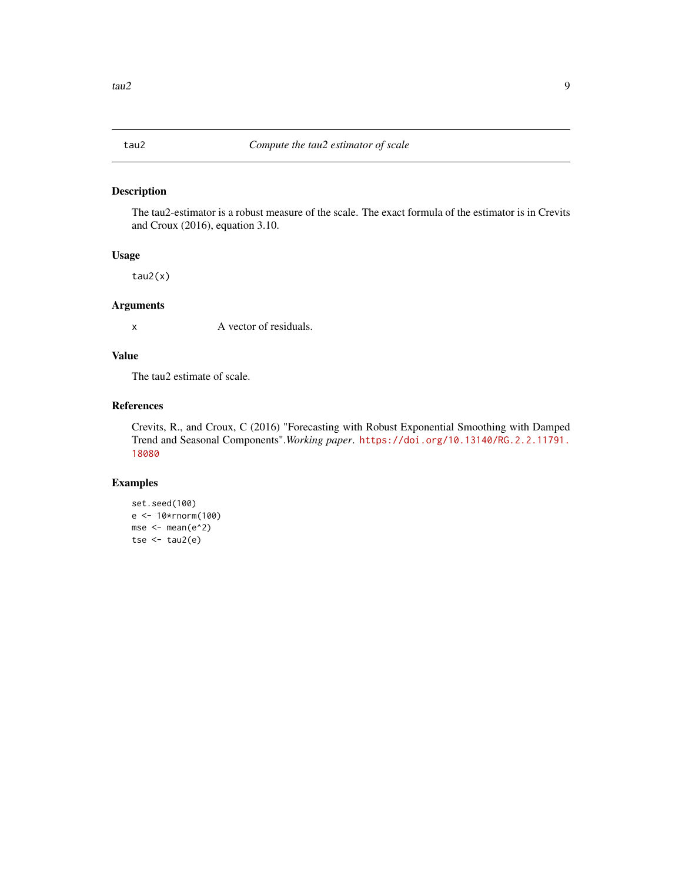<span id="page-8-1"></span><span id="page-8-0"></span>

#### Description

The tau2-estimator is a robust measure of the scale. The exact formula of the estimator is in Crevits and Croux (2016), equation 3.10.

#### Usage

tau2(x)

#### Arguments

x A vector of residuals.

#### Value

The tau2 estimate of scale.

#### References

Crevits, R., and Croux, C (2016) "Forecasting with Robust Exponential Smoothing with Damped Trend and Seasonal Components".*Working paper*. [https://doi.org/10.13140/RG.2.2.11791.](https://doi.org/10.13140/RG.2.2.11791.18080) [18080](https://doi.org/10.13140/RG.2.2.11791.18080)

#### Examples

```
set.seed(100)
e <- 10*rnorm(100)
mse \leq mean(e^2)
tse \leftarrow \text{tau}(e)
```